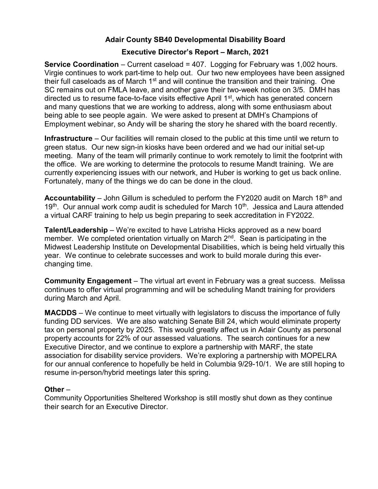# Adair County SB40 Developmental Disability Board

## Executive Director's Report – March, 2021

Service Coordination – Current caseload = 407. Logging for February was 1,002 hours. Virgie continues to work part-time to help out. Our two new employees have been assigned their full caseloads as of March  $1<sup>st</sup>$  and will continue the transition and their training. One SC remains out on FMLA leave, and another gave their two-week notice on 3/5. DMH has directed us to resume face-to-face visits effective April 1<sup>st</sup>, which has generated concern and many questions that we are working to address, along with some enthusiasm about being able to see people again. We were asked to present at DMH's Champions of Employment webinar, so Andy will be sharing the story he shared with the board recently.

Infrastructure – Our facilities will remain closed to the public at this time until we return to green status. Our new sign-in kiosks have been ordered and we had our initial set-up meeting. Many of the team will primarily continue to work remotely to limit the footprint with the office. We are working to determine the protocols to resume Mandt training. We are currently experiencing issues with our network, and Huber is working to get us back online. Fortunately, many of the things we do can be done in the cloud.

**Accountability** – John Gillum is scheduled to perform the FY2020 audit on March 18<sup>th</sup> and 19<sup>th</sup>. Our annual work comp audit is scheduled for March 10<sup>th</sup>. Jessica and Laura attended a virtual CARF training to help us begin preparing to seek accreditation in FY2022.

Talent/Leadership – We're excited to have Latrisha Hicks approved as a new board member. We completed orientation virtually on March  $2^{nd}$ . Sean is participating in the Midwest Leadership Institute on Developmental Disabilities, which is being held virtually this year. We continue to celebrate successes and work to build morale during this everchanging time.

Community Engagement – The virtual art event in February was a great success. Melissa continues to offer virtual programming and will be scheduling Mandt training for providers during March and April.

MACDDS – We continue to meet virtually with legislators to discuss the importance of fully funding DD services. We are also watching Senate Bill 24, which would eliminate property tax on personal property by 2025. This would greatly affect us in Adair County as personal property accounts for 22% of our assessed valuations. The search continues for a new Executive Director, and we continue to explore a partnership with MARF, the state association for disability service providers. We're exploring a partnership with MOPELRA for our annual conference to hopefully be held in Columbia 9/29-10/1. We are still hoping to resume in-person/hybrid meetings later this spring.

## Other –

Community Opportunities Sheltered Workshop is still mostly shut down as they continue their search for an Executive Director.